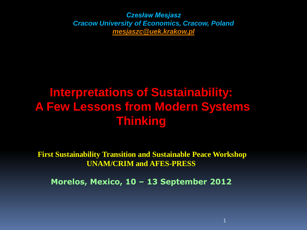*Czesław Mesjasz Cracow University of Economics, Cracow, Poland [mesjaszc@uek.krakow.pl](mailto:mesjaszc@ae.krakow.pl)*

# **Interpretations of Sustainability: A Few Lessons from Modern Systems Thinking**

**First Sustainability Transition and Sustainable Peace Workshop UNAM/CRIM and AFES-PRESS**

**Morelos, Mexico, 10 – 13 September 2012**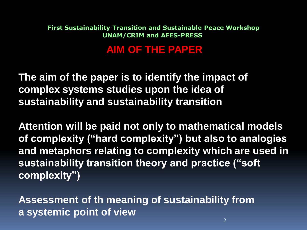### **AIM OF THE PAPER**

**The aim of the paper is to identify the impact of complex systems studies upon the idea of sustainability and sustainability transition** 

**Attention will be paid not only to mathematical models of complexity ("hard complexity") but also to analogies and metaphors relating to complexity which are used in sustainability transition theory and practice ("soft complexity")**

**Assessment of th meaning of sustainability from a systemic point of view**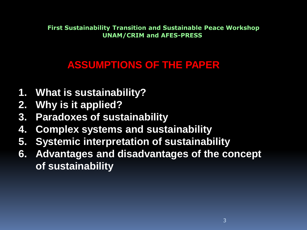## **ASSUMPTIONS OF THE PAPER**

- **1. What is sustainability?**
- **2. Why is it applied?**
- **3. Paradoxes of sustainability**
- **4. Complex systems and sustainability**
- **5. Systemic interpretation of sustainability**
- **6. Advantages and disadvantages of the concept of sustainability**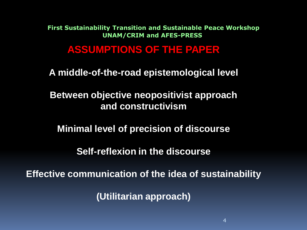#### **ASSUMPTIONS OF THE PAPER**

**A middle-of-the-road epistemological level** 

**Between objective neopositivist approach and constructivism** 

**Minimal level of precision of discourse**

**Self-reflexion in the discourse**

**Effective communication of the idea of sustainability** 

**(Utilitarian approach)**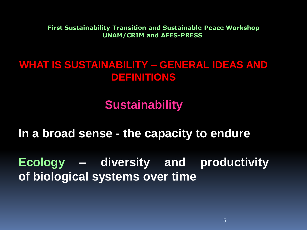## **WHAT IS SUSTAINABILITY – GENERAL IDEAS AND DEFINITIONS**

## **Sustainability**

**In a broad sense - the capacity to endure**

**Ecology – diversity and productivity of biological systems over time**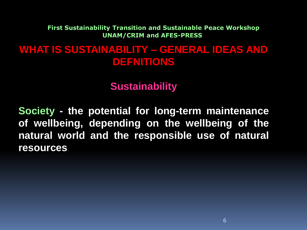## **WHAT IS SUSTAINABILITY – GENERAL IDEAS AND DEFNITIONS**

#### **Sustainability**

**Society - the potential for long-term maintenance of wellbeing, depending on the wellbeing of the natural world and the responsible use of natural resources**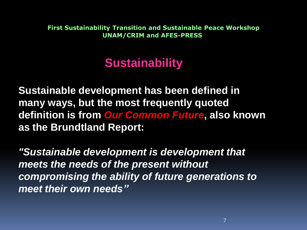# **Sustainability**

**Sustainable development has been defined in many ways, but the most frequently quoted definition is from** *Our Common Future***, also known as the Brundtland Report:**

*"Sustainable development is development that meets the needs of the present without compromising the ability of future generations to meet their own needs"*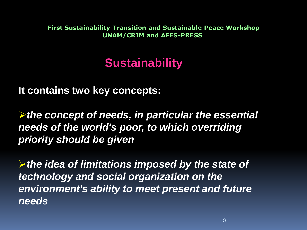# **Sustainability**

**It contains two key concepts:**

*the concept of needs, in particular the essential needs of the world's poor, to which overriding priority should be given*

*the idea of limitations imposed by the state of technology and social organization on the environment's ability to meet present and future needs*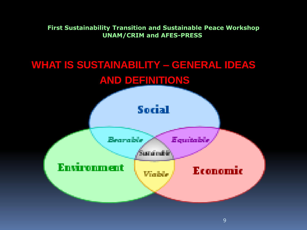## **WHAT IS SUSTAINABILITY – GENERAL IDEAS AND DEFINITIONS**

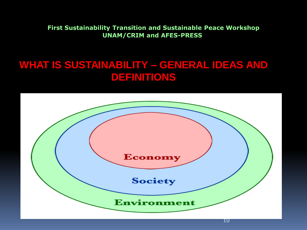## **WHAT IS SUSTAINABILITY – GENERAL IDEAS AND DEFINITIONS**

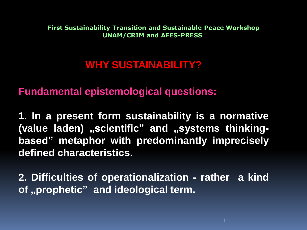## **WHY SUSTAINABILITY?**

**Fundamental epistemological questions:**

**1. In a present form sustainability is a normative** (value laden) "scientific" and "systems thinking**based" metaphor with predominantly imprecisely defined characteristics.** 

**2. Difficulties of operationalization - rather a kind of "prophetic" and ideological term.**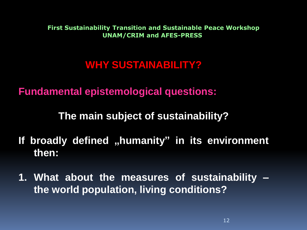## **WHY SUSTAINABILITY?**

**Fundamental epistemological questions:**

**The main subject of sustainability?**

- **If broadly defined "humanity" in its environment then:**
- **1. What about the measures of sustainability the world population, living conditions?**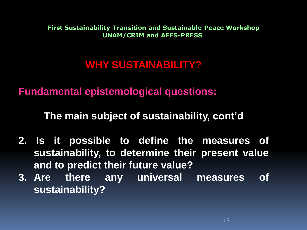## **WHY SUSTAINABILITY?**

**Fundamental epistemological questions:**

**The main subject of sustainability, cont'd**

- **2. Is it possible to define the measures of sustainability, to determine their present value and to predict their future value?**
- **3. Are there any universal measures of sustainability?**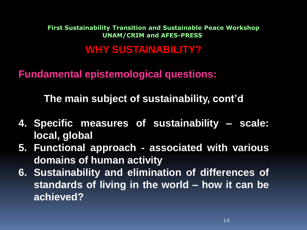## **WHY SUSTAINABILITY?**

**Fundamental epistemological questions:**

**The main subject of sustainability, cont'd**

- **4. Specific measures of sustainability – scale: local, global**
- **5. Functional approach - associated with various domains of human activity**
- **6. Sustainability and elimination of differences of standards of living in the world – how it can be achieved?**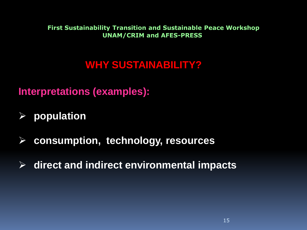## **WHY SUSTAINABILITY?**

**Interpretations (examples):**

- **population**
- **consumption, technology, resources**
- **direct and indirect environmental impacts**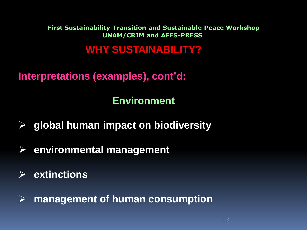## **WHY SUSTAINABILITY?**

**Interpretations (examples), cont'd:**

## **Environment**

- **global human impact on biodiversity**
- **environmental management**
- **extinctions**

**management of human consumption**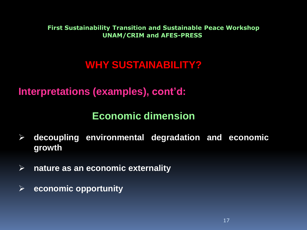## **WHY SUSTAINABILITY?**

**Interpretations (examples), cont'd:**

### **Economic dimension**

- **decoupling environmental degradation and economic growth**
- **nature as an economic externality**
- **economic opportunity**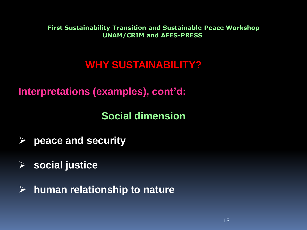## **WHY SUSTAINABILITY?**

**Interpretations (examples), cont'd:**

**Social dimension**

- **peace and security**
- **social justice**
- **human relationship to nature**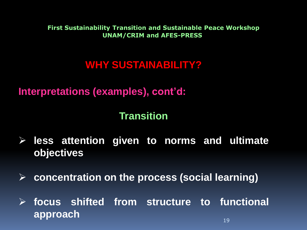## **WHY SUSTAINABILITY?**

**Interpretations (examples), cont'd:**

### **Transition**

- **less attention given to norms and ultimate objectives**
- **concentration on the process (social learning)**

 **focus shifted from structure to functional** approach and the second second second second second second second second second second second second second sec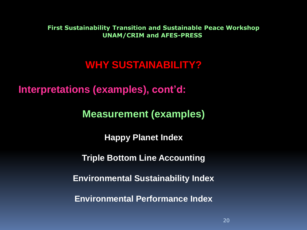## **WHY SUSTAINABILITY?**

**Interpretations (examples), cont'd:**

**Measurement (examples)**

**Happy Planet Index**

**Triple Bottom Line Accounting**

**Environmental Sustainability Index** 

**Environmental Performance Index**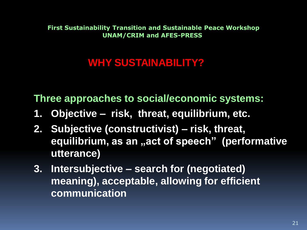## **WHY SUSTAINABILITY?**

**Three approaches to social/economic systems:**

- **1. Objective risk, threat, equilibrium, etc.**
- **2. Subjective (constructivist) – risk, threat,**  equilibrium, as an "act of speech" (performative **utterance)**
- **3. Intersubjective – search for (negotiated) meaning), acceptable, allowing for efficient communication**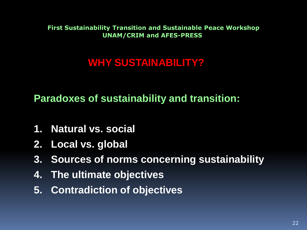## **WHY SUSTAINABILITY?**

**Paradoxes of sustainability and transition:**

- **1. Natural vs. social**
- **2. Local vs. global**
- **3. Sources of norms concerning sustainability**
- **4. The ultimate objectives**
- **5. Contradiction of objectives**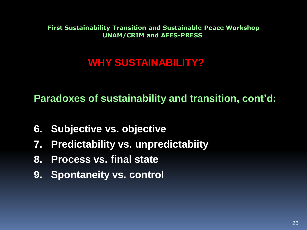## **WHY SUSTAINABILITY?**

**Paradoxes of sustainability and transition, cont'd:**

- **6. Subjective vs. objective**
- **7. Predictability vs. unpredictabiity**
- **8. Process vs. final state**
- **9. Spontaneity vs. control**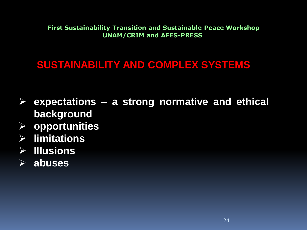## **SUSTAINABILITY AND COMPLEX SYSTEMS**

- **expectations – a strong normative and ethical background**
- **opportunities**
- **limitations**
- **Illusions**
- **abuses**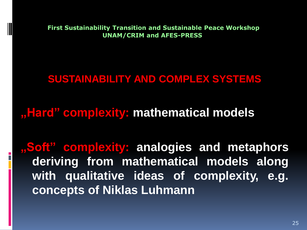## **SUSTAINABILITY AND COMPLEX SYSTEMS**

## **"Hard" complexity: mathematical models**

**"Soft" complexity: analogies and metaphors deriving from mathematical models along with qualitative ideas of complexity, e.g. concepts of Niklas Luhmann**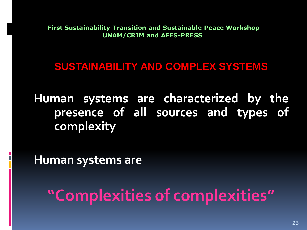### **SUSTAINABILITY AND COMPLEX SYSTEMS**

**Human systems are characterized by the presence of all sources and types of complexity**

**Human systems are**

**"Complexities of complexities"**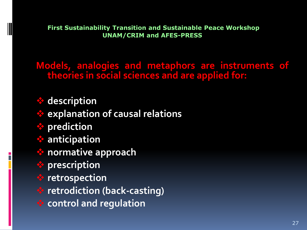**Models, analogies and metaphors are instruments of theories in social sciences and are applied for:**

 **description explanation of causal relations prediction anticipation normative approach prescription retrospection retrodiction (back-casting) control and regulation**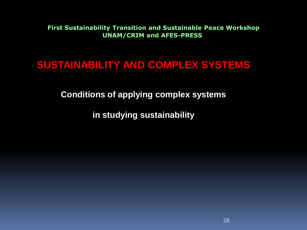### **SUSTAINABILITY AND COMPLEX SYSTEMS**

**Conditions of applying complex systems** 

**in studying sustainability**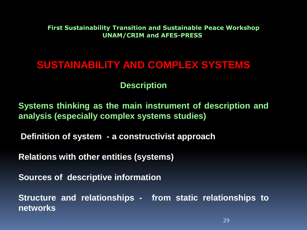#### **SUSTAINABILITY AND COMPLEX SYSTEMS**

#### **Description**

**Systems thinking as the main instrument of description and analysis (especially complex systems studies)**

**Definition of system - a constructivist approach**

**Relations with other entities (systems)**

**Sources of descriptive information**

**Structure and relationships - from static relationships to networks**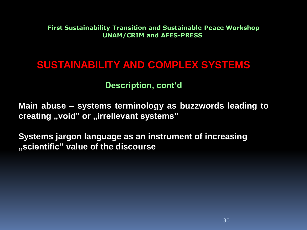#### **SUSTAINABILITY AND COMPLEX SYSTEMS**

#### **Description, cont'd**

**Main abuse – systems terminology as buzzwords leading to creating** "void" or "irrellevant systems"

**Systems jargon language as an instrument of increasing "scientific" value of the discourse**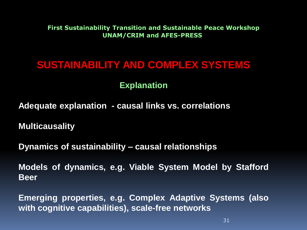### **SUSTAINABILITY AND COMPLEX SYSTEMS**

#### **Explanation**

**Adequate explanation - causal links vs. correlations**

**Multicausality**

**Dynamics of sustainability – causal relationships**

**Models of dynamics, e.g. Viable System Model by Stafford Beer**

**Emerging properties, e.g. Complex Adaptive Systems (also with cognitive capabilities), scale-free networks**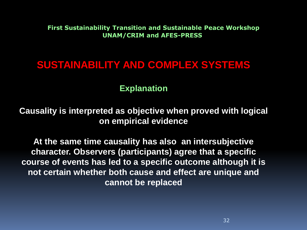### **SUSTAINABILITY AND COMPLEX SYSTEMS**

#### **Explanation**

**Causality is interpreted as objective when proved with logical on empirical evidence** 

**At the same time causality has also an intersubjective character. Observers (participants) agree that a specific course of events has led to a specific outcome although it is not certain whether both cause and effect are unique and cannot be replaced**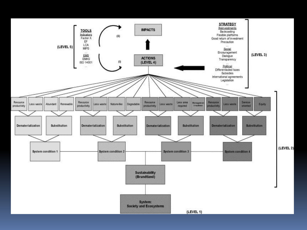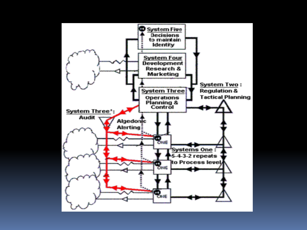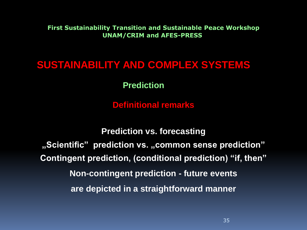### **SUSTAINABILITY AND COMPLEX SYSTEMS**

**Prediction** 

**Definitional remarks**

**Prediction vs. forecasting "Scientific" prediction vs. "common sense prediction" Contingent prediction, (conditional prediction) "if, then" Non-contingent prediction - future events are depicted in a straightforward manner**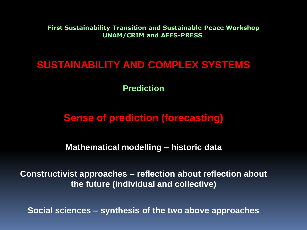#### **SUSTAINABILITY AND COMPLEX SYSTEMS**

**Prediction**

## **Sense of prediction (forecasting)**

**Mathematical modelling – historic data** 

**Constructivist approaches – reflection about reflection about the future (individual and collective)**

**Social sciences – synthesis of the two above approaches**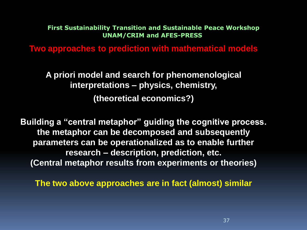**Two approaches to prediction with mathematical models**

**A priori model and search for phenomenological interpretations – physics, chemistry, (theoretical economics?)** 

**Building a "central metaphor" guiding the cognitive process. the metaphor can be decomposed and subsequently parameters can be operationalized as to enable further research – description, prediction, etc. (Central metaphor results from experiments or theories)**

**The two above approaches are in fact (almost) similar**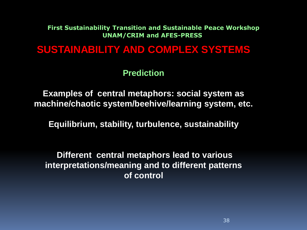#### **SUSTAINABILITY AND COMPLEX SYSTEMS**

**Prediction**

**Examples of central metaphors: social system as machine/chaotic system/beehive/learning system, etc.**

**Equilibrium, stability, turbulence, sustainability** 

**Different central metaphors lead to various interpretations/meaning and to different patterns of control**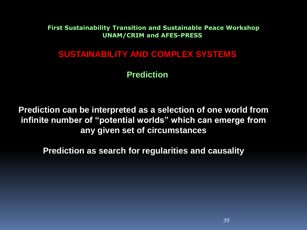#### **SUSTAINABILITY AND COMPLEX SYSTEMS**

#### **Prediction**

**Prediction can be interpreted as a selection of one world from infinite number of "potential worlds" which can emerge from any given set of circumstances** 

**Prediction as search for regularities and causality**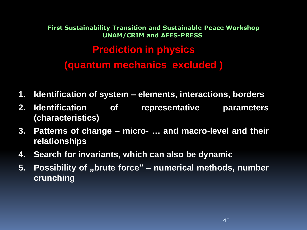## **Prediction in physics (quantum mechanics excluded ) First Sustainability Transition and Sustainable Peace Workshop UNAM/CRIM and AFES-PRESS**

- **1. Identification of system – elements, interactions, borders**
- **2. Identification of representative parameters (characteristics)**
- **3. Patterns of change – micro- … and macro-level and their relationships**
- **4. Search for invariants, which can also be dynamic**
- **5. Possibility of "brute force" – numerical methods, number crunching**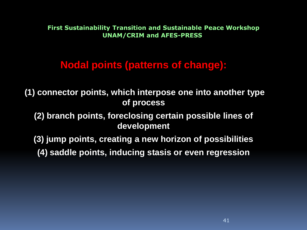### **Nodal points (patterns of change):**

**(1) connector points, which interpose one into another type of process** 

**(2) branch points, foreclosing certain possible lines of development**

**(3) jump points, creating a new horizon of possibilities** 

**(4) saddle points, inducing stasis or even regression**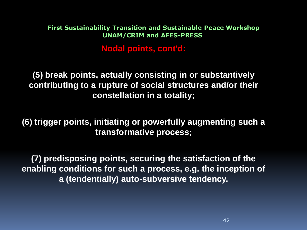**Nodal points, cont'd:**

**(5) break points, actually consisting in or substantively contributing to a rupture of social structures and/or their constellation in a totality;** 

**(6) trigger points, initiating or powerfully augmenting such a transformative process;**

**(7) predisposing points, securing the satisfaction of the enabling conditions for such a process, e.g. the inception of a (tendentially) auto-subversive tendency.**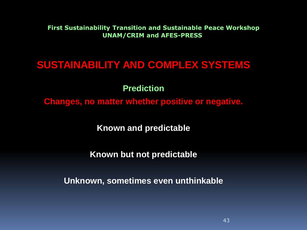#### **SUSTAINABILITY AND COMPLEX SYSTEMS**

**Prediction**

**Changes, no matter whether positive or negative.** 

**Known and predictable**

**Known but not predictable** 

**Unknown, sometimes even unthinkable**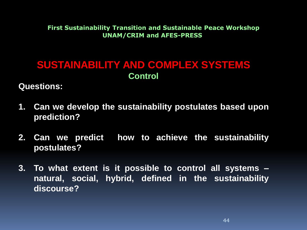### **SUSTAINABILITY AND COMPLEX SYSTEMS Control**

**Questions:**

- **1. Can we develop the sustainability postulates based upon prediction?**
- **2. Can we predict how to achieve the sustainability postulates?**
- **3. To what extent is it possible to control all systems – natural, social, hybrid, defined in the sustainability discourse?**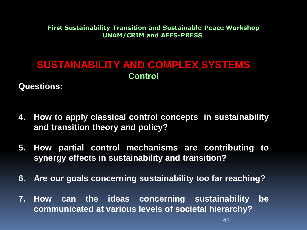### **SUSTAINABILITY AND COMPLEX SYSTEMS Control**

**Questions:**

- **4. How to apply classical control concepts in sustainability and transition theory and policy?**
- **5. How partial control mechanisms are contributing to synergy effects in sustainability and transition?**
- **6. Are our goals concerning sustainability too far reaching?**
- **7. How can the ideas concerning sustainability be communicated at various levels of societal hierarchy?**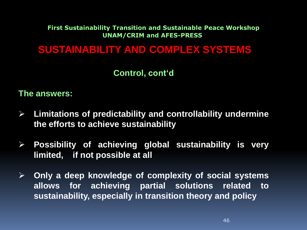#### **SUSTAINABILITY AND COMPLEX SYSTEMS**

#### **Control, cont'd**

#### **The answers:**

- **Limitations of predictability and controllability undermine the efforts to achieve sustainability**
- **Possibility of achieving global sustainability is very limited, if not possible at all**
- **Only a deep knowledge of complexity of social systems allows for achieving partial solutions related to sustainability, especially in transition theory and policy**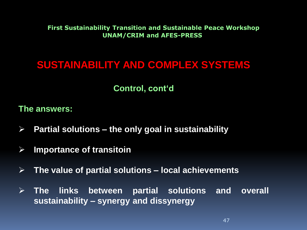### **SUSTAINABILITY AND COMPLEX SYSTEMS**

#### **Control, cont'd**

#### **The answers:**

- **Partial solutions – the only goal in sustainability**
- **Importance of transitoin**
- **The value of partial solutions – local achievements**
- **The links between partial solutions and overall sustainability – synergy and dissynergy**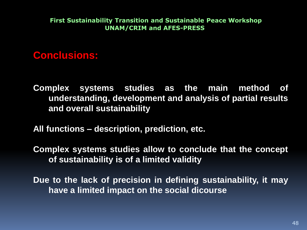#### **Conclusions:**

**Complex systems studies as the main method of understanding, development and analysis of partial results and overall sustainability**

**All functions – description, prediction, etc.**

**Complex systems studies allow to conclude that the concept of sustainability is of a limited validity**

**Due to the lack of precision in defining sustainability, it may have a limited impact on the social dicourse**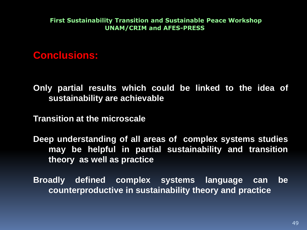**Conclusions:** 

**Only partial results which could be linked to the idea of sustainability are achievable**

**Transition at the microscale** 

**Deep understanding of all areas of complex systems studies may be helpful in partial sustainability and transition theory as well as practice**

**Broadly defined complex systems language can be counterproductive in sustainability theory and practice**